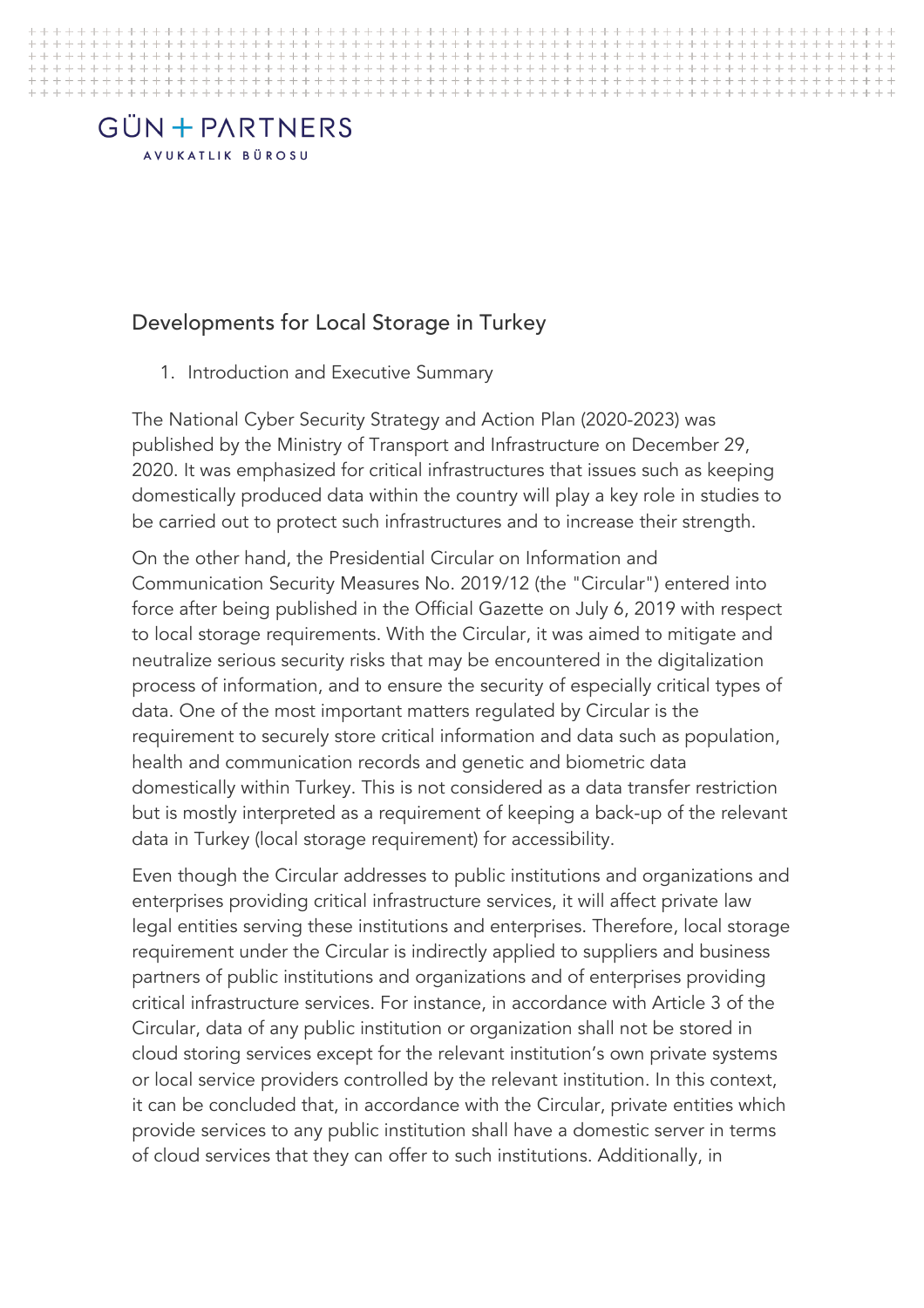#### Developments for Local Storage in Turkey

1. Introduction and Executive Summary

The National Cyber Security Strategy and Action Plan (2020-2023) was published by the Ministry of Transport and Infrastructure on December 29, 2020. It was emphasized for critical infrastructures that issues such as keeping domestically produced data within the country will play a key role in studies to be carried out to protect such infrastructures and to increase their strength.

> On the other hand, the Presidential Circular on Information and Communication Security Measures No. 2019/12 (the "Circular") entered into force after being published in the Official Gazette on July 6, 2019 with respect to local storage requirements. With the Circular, it was aimed to mitigate and neutralize serious security risks that may be encountered in the digitalization process of information, and to ensure the security of especially critical types of data. One of the most important matters regulated by Circular is the requirement to securely store critical information and data such as population, health and communication records and genetic and biometric data domestically within Turkey. This is not considered as a data transfer restriction but is mostly interpreted as a requirement of keeping a back-up of the relevant data in Turkey (local storage requirement) for accessibility.

> Even though the Circular addresses to public institutions and organizations and enterprises providing critical infrastructure services, it will affect private law legal entities serving these institutions and enterprises. Therefore, local storage requirement under the Circular is indirectly applied to suppliers and business partners of public institutions and organizations and of enterprises providing critical infrastructure services. For instance, in accordance with Article 3 of the Circular, data of any public institution or organization shall not be stored in cloud storing services except for the relevant institution's own private systems or local service providers controlled by the relevant institution. In this context, it can be concluded that, in accordance with the Circular, private entities which provide services to any public institution shall have a domestic server in terms of cloud services that they can offer to such institutions. Additionally, in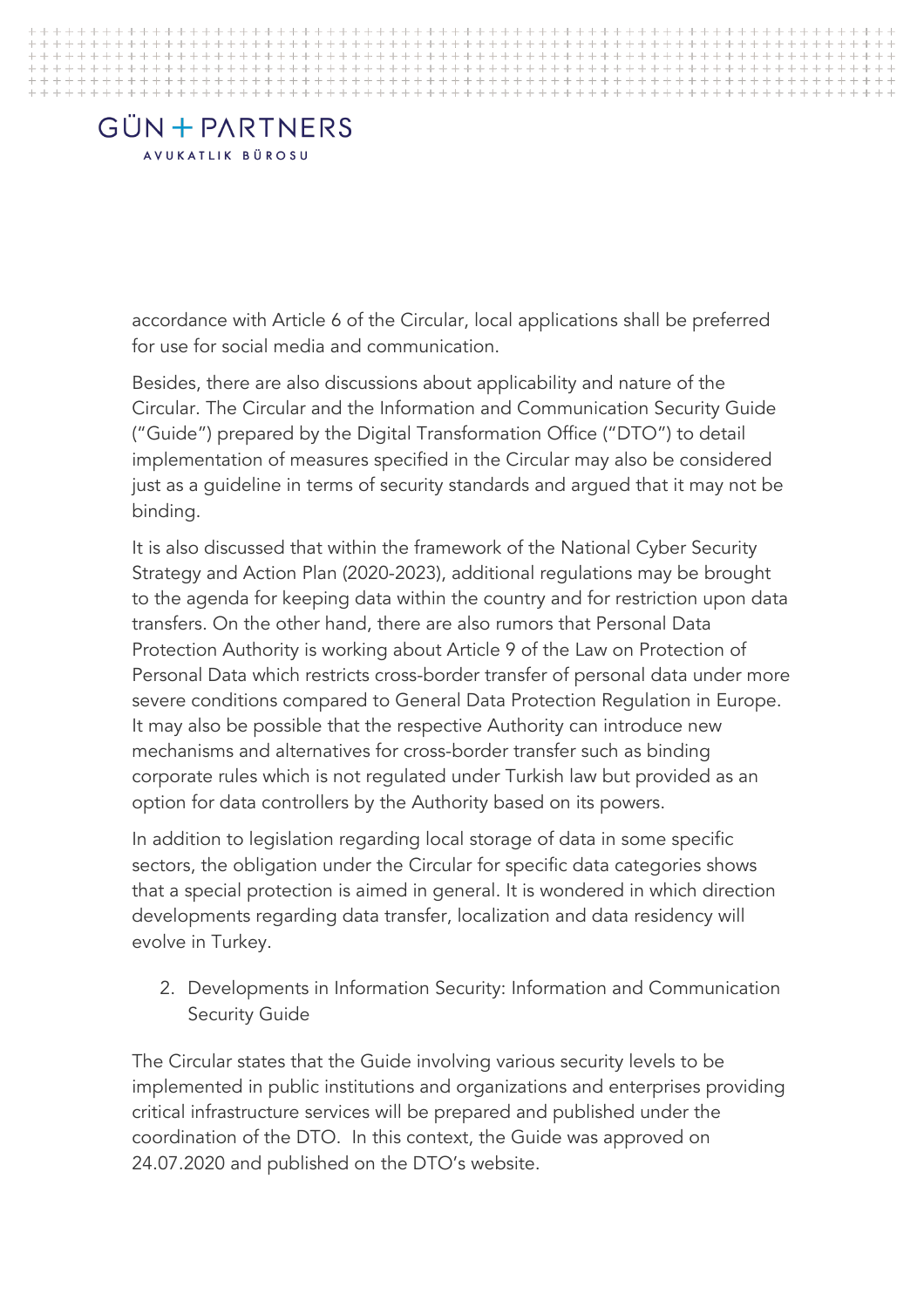accordance with Article 6 of the Circular, local applications shall be preferred for use for social media and communication.

> Besides, there are also discussions about applicability and nature of the Circular. The Circular and the Information and Communication Security Guide ("Guide") prepared by the Digital Transformation Office ("DTO") to detail implementation of measures specified in the Circular may also be considered just as a guideline in terms of security standards and argued that it may not be binding.

It is also discussed that within the framework of the National Cyber Security Strategy and Action Plan (2020-2023), additional regulations may be brought to the agenda for keeping data within the country and for restriction upon data transfers. On the other hand, there are also rumors that Personal Data Protection Authority is working about Article 9 of the Law on Protection of Personal Data which restricts cross-border transfer of personal data under more severe conditions compared to General Data Protection Regulation in Europe. It may also be possible that the respective Authority can introduce new mechanisms and alternatives for cross-border transfer such as binding corporate rules which is not regulated under Turkish law but provided as an option for data controllers by the Authority based on its powers.

In addition to legislation regarding local storage of data in some specific sectors, the obligation under the Circular for specific data categories shows that a special protection is aimed in general. It is wondered in which direction developments regarding data transfer, localization and data residency will evolve in Turkey.

2. Developments in Information Security: Information and Communication Security Guide

The Circular states that the Guide involving various security levels to be implemented in public institutions and organizations and enterprises providing critical infrastructure services will be prepared and published under the coordination of the DTO. In this context, the Guide was approved on 24.07.2020 and published on the DTO's website.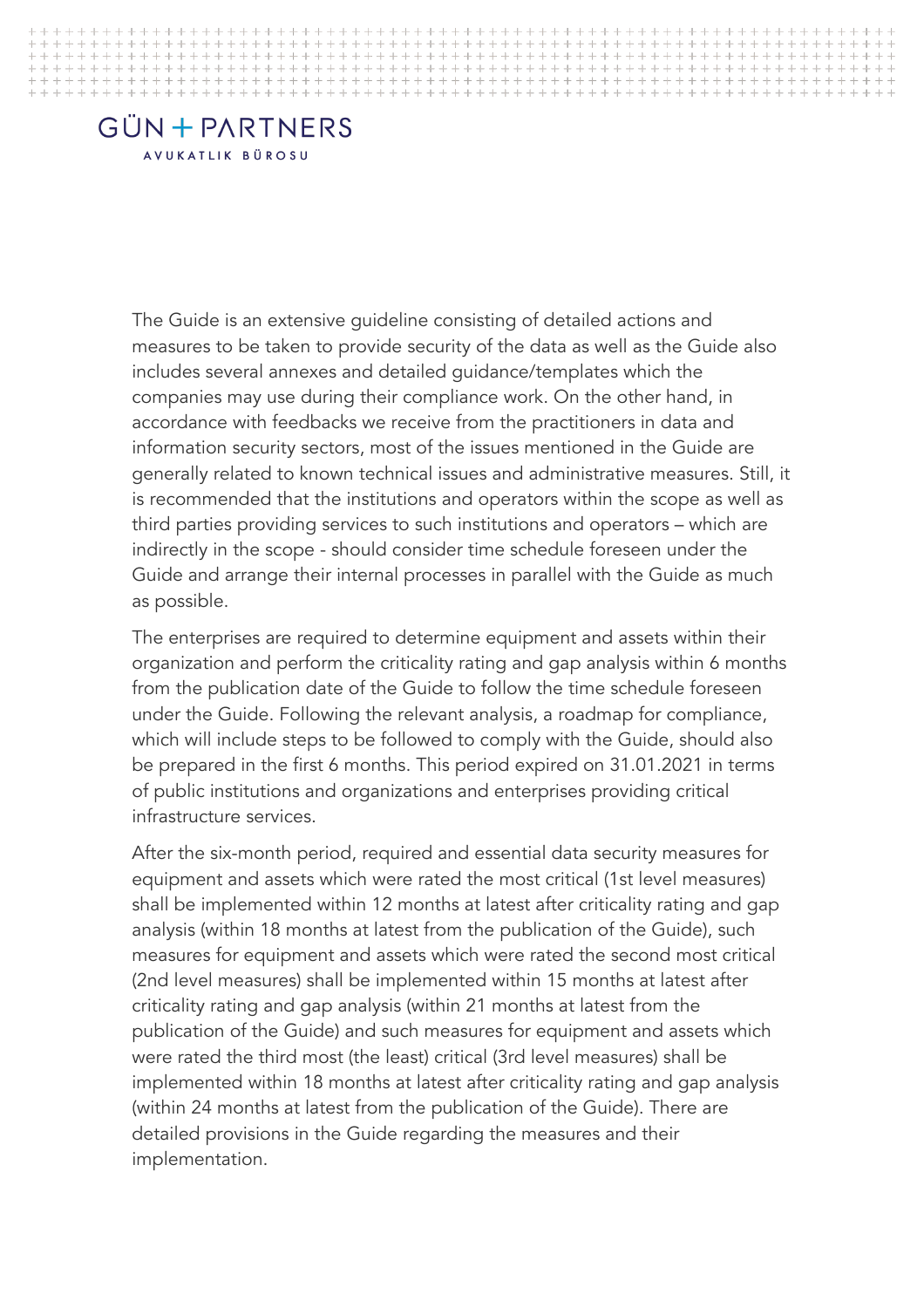The Guide is an extensive guideline consisting of detailed actions and measures to be taken to provide security of the data as well as the Guide also includes several annexes and detailed guidance/templates which the companies may use during their compliance work. On the other hand, in accordance with feedbacks we receive from the practitioners in data and information security sectors, most of the issues mentioned in the Guide are generally related to known technical issues and administrative measures. Still, it is recommended that the institutions and operators within the scope as well as third parties providing services to such institutions and operators – which are indirectly in the scope - should consider time schedule foreseen under the Guide and arrange their internal processes in parallel with the Guide as much as possible.

> The enterprises are required to determine equipment and assets within their organization and perform the criticality rating and gap analysis within 6 months from the publication date of the Guide to follow the time schedule foreseen under the Guide. Following the relevant analysis, a roadmap for compliance, which will include steps to be followed to comply with the Guide, should also be prepared in the first 6 months. This period expired on 31.01.2021 in terms of public institutions and organizations and enterprises providing critical infrastructure services.

After the six-month period, required and essential data security measures for equipment and assets which were rated the most critical (1st level measures) shall be implemented within 12 months at latest after criticality rating and gap analysis (within 18 months at latest from the publication of the Guide), such measures for equipment and assets which were rated the second most critical (2nd level measures) shall be implemented within 15 months at latest after criticality rating and gap analysis (within 21 months at latest from the publication of the Guide) and such measures for equipment and assets which were rated the third most (the least) critical (3rd level measures) shall be implemented within 18 months at latest after criticality rating and gap analysis (within 24 months at latest from the publication of the Guide). There are detailed provisions in the Guide regarding the measures and their implementation.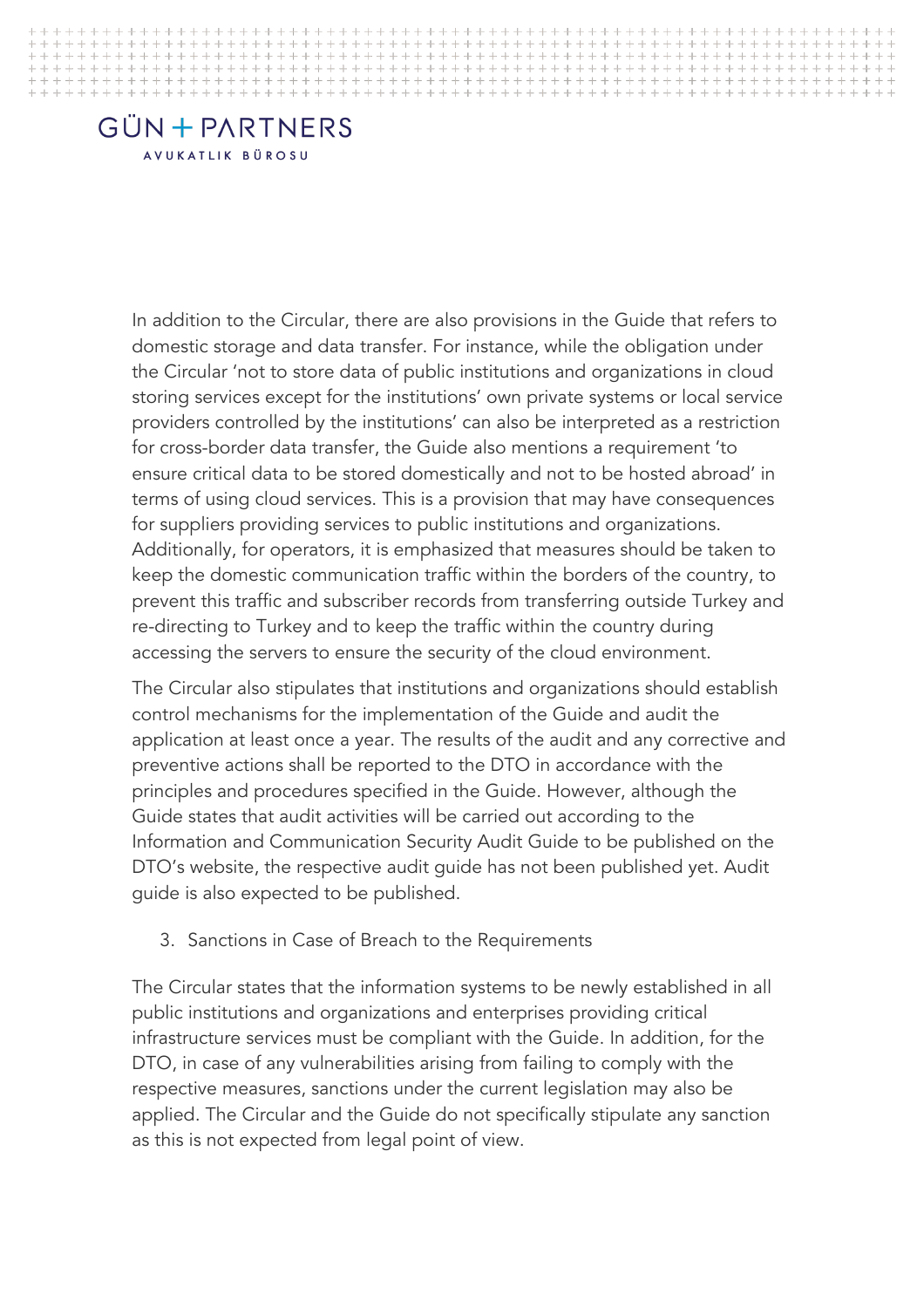In addition to the Circular, there are also provisions in the Guide that refers to domestic storage and data transfer. For instance, while the obligation under the Circular 'not to store data of public institutions and organizations in cloud storing services except for the institutions' own private systems or local service providers controlled by the institutions' can also be interpreted as a restriction for cross-border data transfer, the Guide also mentions a requirement 'to ensure critical data to be stored domestically and not to be hosted abroad' in terms of using cloud services. This is a provision that may have consequences for suppliers providing services to public institutions and organizations. Additionally, for operators, it is emphasized that measures should be taken to keep the domestic communication traffic within the borders of the country, to prevent this traffic and subscriber records from transferring outside Turkey and re-directing to Turkey and to keep the traffic within the country during accessing the servers to ensure the security of the cloud environment.

> The Circular also stipulates that institutions and organizations should establish control mechanisms for the implementation of the Guide and audit the application at least once a year. The results of the audit and any corrective and preventive actions shall be reported to the DTO in accordance with the principles and procedures specified in the Guide. However, although the Guide states that audit activities will be carried out according to the Information and Communication Security Audit Guide to be published on the DTO's website, the respective audit guide has not been published yet. Audit guide is also expected to be published.

3. Sanctions in Case of Breach to the Requirements

The Circular states that the information systems to be newly established in all public institutions and organizations and enterprises providing critical infrastructure services must be compliant with the Guide. In addition, for the DTO, in case of any vulnerabilities arising from failing to comply with the respective measures, sanctions under the current legislation may also be applied. The Circular and the Guide do not specifically stipulate any sanction as this is not expected from legal point of view.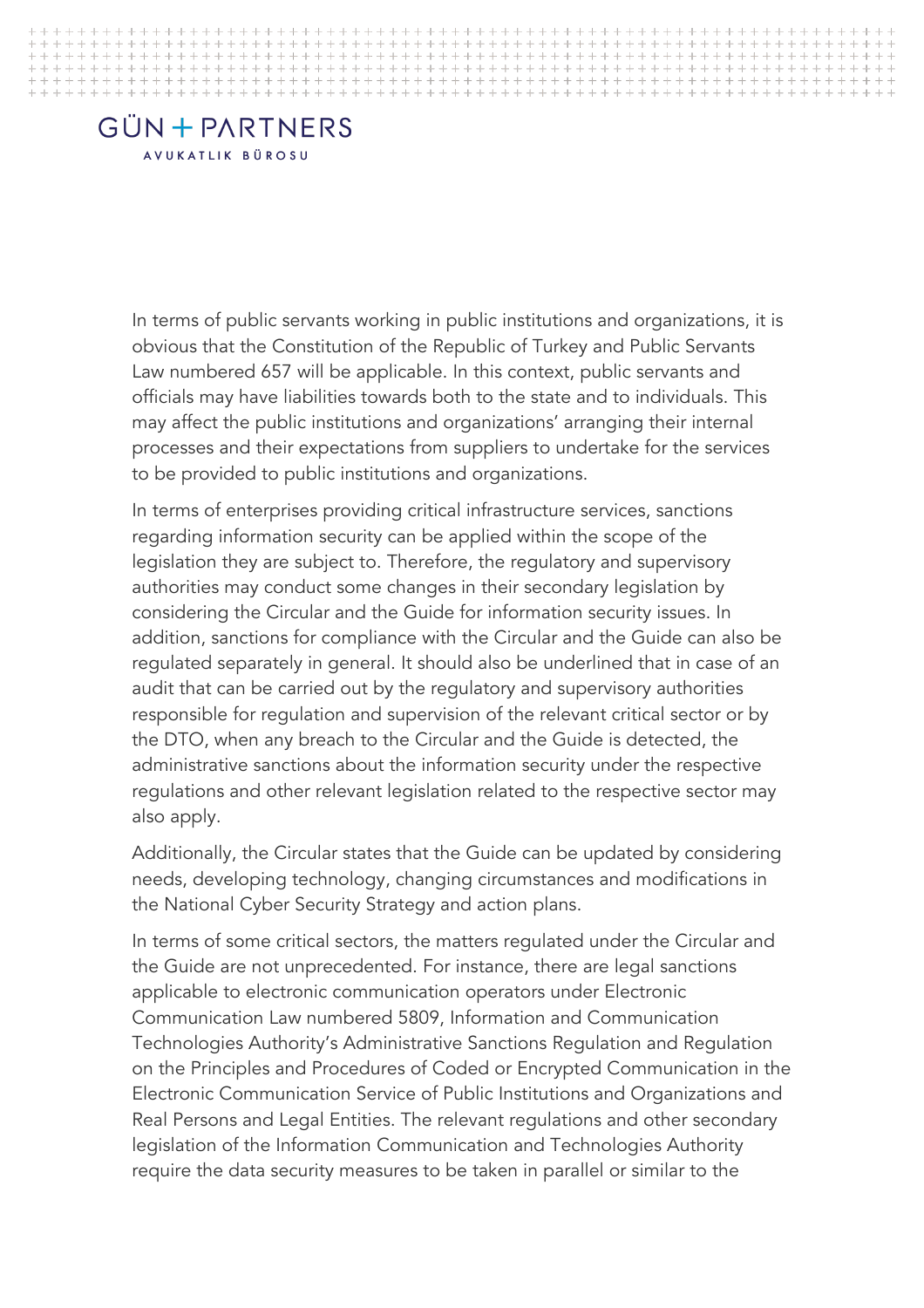In terms of public servants working in public institutions and organizations, it is obvious that the Constitution of the Republic of Turkey and Public Servants Law numbered 657 will be applicable. In this context, public servants and officials may have liabilities towards both to the state and to individuals. This may affect the public institutions and organizations' arranging their internal processes and their expectations from suppliers to undertake for the services to be provided to public institutions and organizations.

> In terms of enterprises providing critical infrastructure services, sanctions regarding information security can be applied within the scope of the legislation they are subject to. Therefore, the regulatory and supervisory authorities may conduct some changes in their secondary legislation by considering the Circular and the Guide for information security issues. In addition, sanctions for compliance with the Circular and the Guide can also be regulated separately in general. It should also be underlined that in case of an audit that can be carried out by the regulatory and supervisory authorities responsible for regulation and supervision of the relevant critical sector or by the DTO, when any breach to the Circular and the Guide is detected, the administrative sanctions about the information security under the respective regulations and other relevant legislation related to the respective sector may also apply.

> Additionally, the Circular states that the Guide can be updated by considering needs, developing technology, changing circumstances and modifications in the National Cyber Security Strategy and action plans.

In terms of some critical sectors, the matters regulated under the Circular and the Guide are not unprecedented. For instance, there are legal sanctions applicable to electronic communication operators under Electronic Communication Law numbered 5809, Information and Communication Technologies Authority's Administrative Sanctions Regulation and Regulation on the Principles and Procedures of Coded or Encrypted Communication in the Electronic Communication Service of Public Institutions and Organizations and Real Persons and Legal Entities. The relevant regulations and other secondary legislation of the Information Communication and Technologies Authority require the data security measures to be taken in parallel or similar to the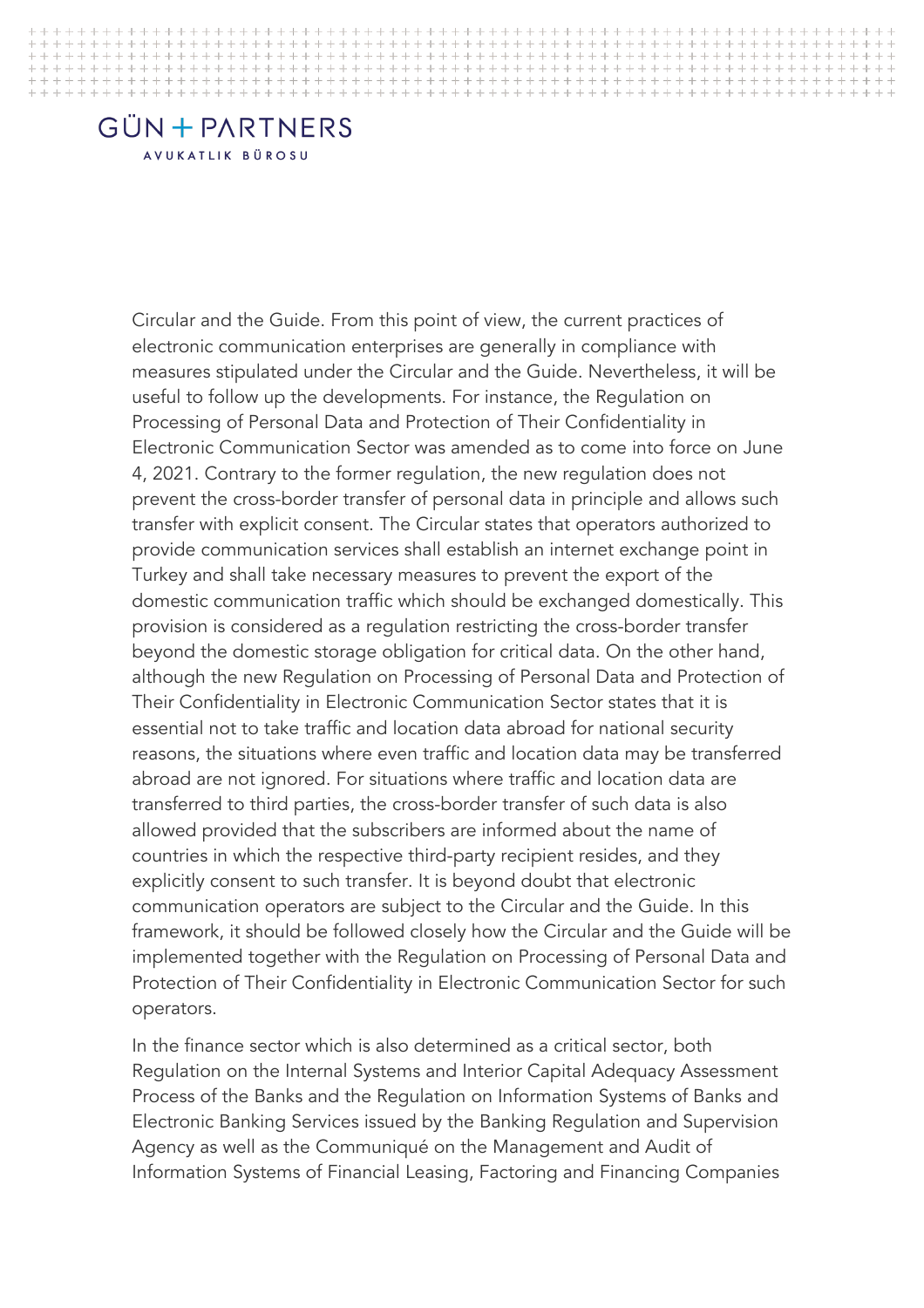Circular and the Guide. From this point of view, the current practices of electronic communication enterprises are generally in compliance with measures stipulated under the Circular and the Guide. Nevertheless, it will be useful to follow up the developments. For instance, the Regulation on Processing of Personal Data and Protection of Their Confidentiality in Electronic Communication Sector was amended as to come into force on June 4, 2021. Contrary to the former regulation, the new regulation does not prevent the cross-border transfer of personal data in principle and allows such transfer with explicit consent. The Circular states that operators authorized to provide communication services shall establish an internet exchange point in Turkey and shall take necessary measures to prevent the export of the domestic communication traffic which should be exchanged domestically. This provision is considered as a regulation restricting the cross-border transfer beyond the domestic storage obligation for critical data. On the other hand, although the new Regulation on Processing of Personal Data and Protection of Their Confidentiality in Electronic Communication Sector states that it is essential not to take traffic and location data abroad for national security reasons, the situations where even traffic and location data may be transferred abroad are not ignored. For situations where traffic and location data are transferred to third parties, the cross-border transfer of such data is also allowed provided that the subscribers are informed about the name of countries in which the respective third-party recipient resides, and they explicitly consent to such transfer. It is beyond doubt that electronic communication operators are subject to the Circular and the Guide. In this framework, it should be followed closely how the Circular and the Guide will be implemented together with the Regulation on Processing of Personal Data and Protection of Their Confidentiality in Electronic Communication Sector for such operators.

> In the finance sector which is also determined as a critical sector, both Regulation on the Internal Systems and Interior Capital Adequacy Assessment Process of the Banks and the Regulation on Information Systems of Banks and Electronic Banking Services issued by the Banking Regulation and Supervision Agency as well as the Communiqué on the Management and Audit of Information Systems of Financial Leasing, Factoring and Financing Companies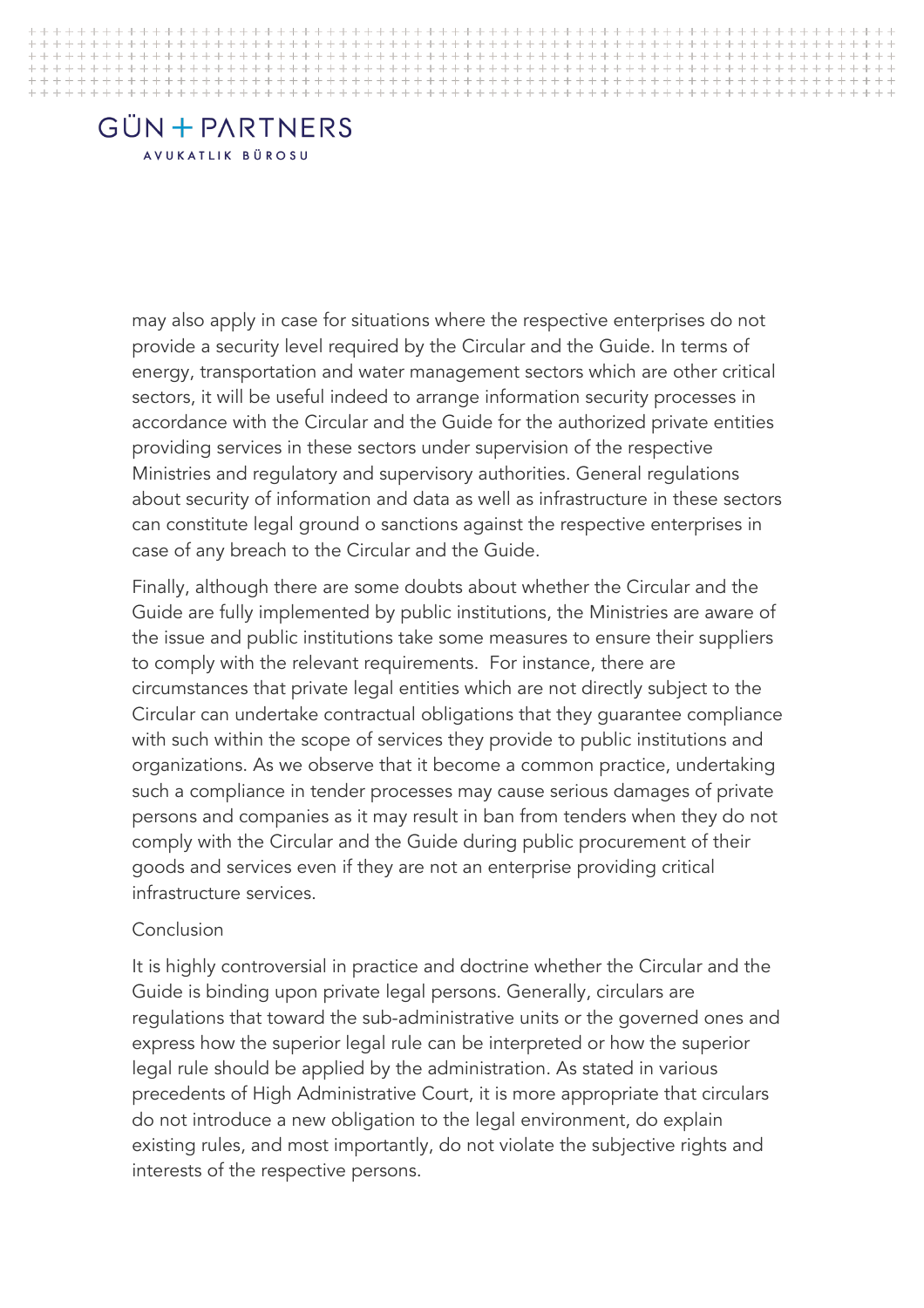may also apply in case for situations where the respective enterprises do not provide a security level required by the Circular and the Guide. In terms of energy, transportation and water management sectors which are other critical sectors, it will be useful indeed to arrange information security processes in accordance with the Circular and the Guide for the authorized private entities providing services in these sectors under supervision of the respective Ministries and regulatory and supervisory authorities. General regulations about security of information and data as well as infrastructure in these sectors can constitute legal ground o sanctions against the respective enterprises in case of any breach to the Circular and the Guide.

> Finally, although there are some doubts about whether the Circular and the Guide are fully implemented by public institutions, the Ministries are aware of the issue and public institutions take some measures to ensure their suppliers to comply with the relevant requirements. For instance, there are circumstances that private legal entities which are not directly subject to the Circular can undertake contractual obligations that they guarantee compliance with such within the scope of services they provide to public institutions and organizations. As we observe that it become a common practice, undertaking such a compliance in tender processes may cause serious damages of private persons and companies as it may result in ban from tenders when they do not comply with the Circular and the Guide during public procurement of their goods and services even if they are not an enterprise providing critical infrastructure services.

#### Conclusion

It is highly controversial in practice and doctrine whether the Circular and the Guide is binding upon private legal persons. Generally, circulars are regulations that toward the sub-administrative units or the governed ones and express how the superior legal rule can be interpreted or how the superior legal rule should be applied by the administration. As stated in various precedents of High Administrative Court, it is more appropriate that circulars do not introduce a new obligation to the legal environment, do explain existing rules, and most importantly, do not violate the subjective rights and interests of the respective persons.